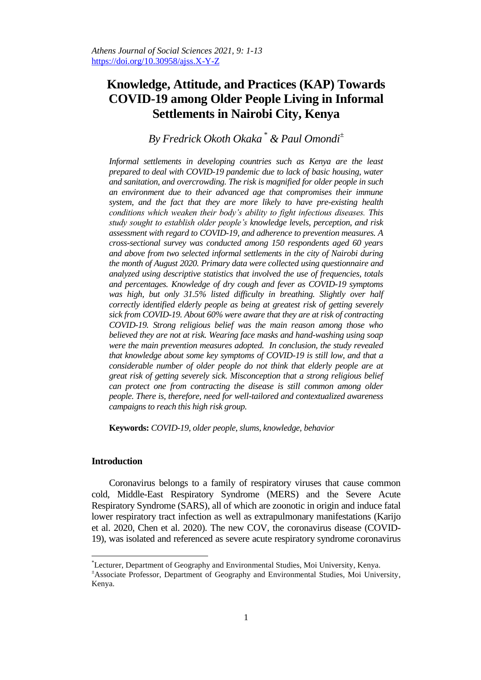# **Knowledge, Attitude, and Practices (KAP) Towards COVID-19 among Older People Living in Informal Settlements in Nairobi City, Kenya**

# *By Fredrick Okoth Okaka \* & Paul Omondi<sup>±</sup>*

*Informal settlements in developing countries such as Kenya are the least prepared to deal with COVID-19 pandemic due to lack of basic housing, water and sanitation, and overcrowding. The risk is magnified for older people in such an environment due to their advanced age that compromises their immune system, and the fact that they are more likely to have pre-existing health conditions which weaken their body's ability to fight infectious diseases. This study sought to establish older people's knowledge levels, perception, and risk assessment with regard to COVID-19, and adherence to prevention measures. A cross-sectional survey was conducted among 150 respondents aged 60 years and above from two selected informal settlements in the city of Nairobi during the month of August 2020. Primary data were collected using questionnaire and analyzed using descriptive statistics that involved the use of frequencies, totals and percentages. Knowledge of dry cough and fever as COVID-19 symptoms was high, but only 31.5% listed difficulty in breathing. Slightly over half correctly identified elderly people as being at greatest risk of getting severely sick from COVID-19. About 60% were aware that they are at risk of contracting COVID-19. Strong religious belief was the main reason among those who believed they are not at risk. Wearing face masks and hand-washing using soap were the main prevention measures adopted. In conclusion, the study revealed that knowledge about some key symptoms of COVID-19 is still low, and that a considerable number of older people do not think that elderly people are at great risk of getting severely sick. Misconception that a strong religious belief can protect one from contracting the disease is still common among older people. There is, therefore, need for well-tailored and contextualized awareness campaigns to reach this high risk group.*

**Keywords:** *COVID-19, older people, slums, knowledge, behavior*

#### **Introduction**

 $\overline{a}$ 

Coronavirus belongs to a family of respiratory viruses that cause common cold, Middle-East Respiratory Syndrome (MERS) and the Severe Acute Respiratory Syndrome (SARS), all of which are zoonotic in origin and induce fatal lower respiratory tract infection as well as extrapulmonary manifestations (Karijo et al. 2020, Chen et al. 2020). The new COV, the coronavirus disease (COVID-19), was isolated and referenced as severe acute respiratory syndrome coronavirus

<sup>\*</sup>Lecturer, Department of Geography and Environmental Studies, Moi University, Kenya.

<sup>±</sup>Associate Professor, Department of Geography and Environmental Studies, Moi University, Kenya.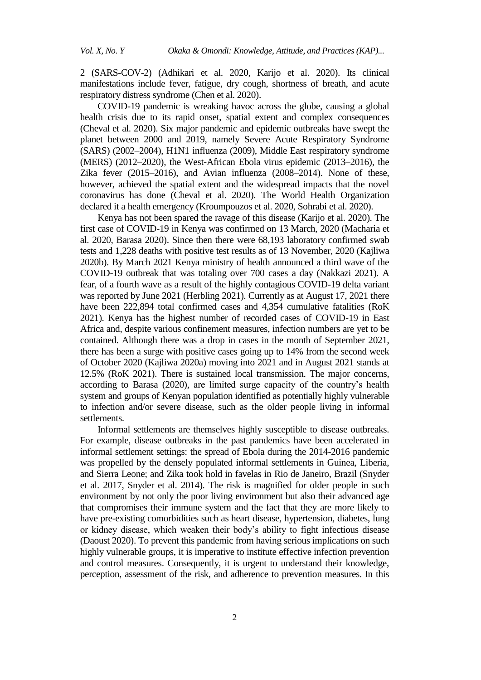2 (SARS-COV-2) (Adhikari et al. 2020, Karijo et al. 2020). Its clinical manifestations include fever, fatigue, dry cough, shortness of breath, and acute respiratory distress syndrome (Chen et al. 2020).

COVID-19 pandemic is wreaking havoc across the globe, causing a global health crisis due to its rapid onset, spatial extent and complex consequences (Cheval et al. 2020). Six major pandemic and epidemic outbreaks have swept the planet between 2000 and 2019, namely Severe Acute Respiratory Syndrome (SARS) (2002–2004), H1N1 influenza (2009), Middle East respiratory syndrome (MERS) (2012–2020), the West-African Ebola virus epidemic (2013–2016), the Zika fever (2015–2016), and Avian influenza (2008–2014). None of these, however, achieved the spatial extent and the widespread impacts that the novel coronavirus has done (Cheval et al. 2020). The World Health Organization declared it a health emergency (Kroumpouzos et al. 2020, Sohrabi et al. 2020).

Kenya has not been spared the ravage of this disease (Karijo et al. 2020). The first case of COVID-19 in Kenya was confirmed on 13 March, 2020 (Macharia et al. 2020, Barasa 2020). Since then there were 68,193 laboratory confirmed swab tests and 1,228 deaths with positive test results as of 13 November, 2020 (Kajliwa 2020b). By March 2021 Kenya ministry of health announced a third wave of the COVID-19 outbreak that was totaling over 700 cases a day (Nakkazi 2021). A fear, of a fourth wave as a result of the highly contagious COVID-19 delta variant was reported by June 2021 (Herbling 2021). Currently as at August 17, 2021 there have been 222,894 total confirmed cases and 4,354 cumulative fatalities (RoK 2021). Kenya has the highest number of recorded cases of COVID-19 in East Africa and, despite various confinement measures, infection numbers are yet to be contained. Although there was a drop in cases in the month of September 2021, there has been a surge with positive cases going up to 14% from the second week of October 2020 (Kajliwa 2020a) moving into 2021 and in August 2021 stands at 12.5% (RoK 2021). There is sustained local transmission. The major concerns, according to Barasa (2020), are limited surge capacity of the country's health system and groups of Kenyan population identified as potentially highly vulnerable to infection and/or severe disease, such as the older people living in informal settlements.

Informal settlements are themselves highly susceptible to disease outbreaks. For example, disease outbreaks in the past pandemics have been accelerated in informal settlement settings: the spread of Ebola during the 2014-2016 pandemic was propelled by the densely populated informal settlements in Guinea, Liberia, and Sierra Leone; and Zika took hold in favelas in Rio de Janeiro, Brazil (Snyder et al. 2017, Snyder et al. 2014). The risk is magnified for older people in such environment by not only the poor living environment but also their advanced age that compromises their immune system and the fact that they are more likely to have pre-existing comorbidities such as heart disease, hypertension, diabetes, lung or kidney disease, which weaken their body's ability to fight infectious disease (Daoust 2020). To prevent this pandemic from having serious implications on such highly vulnerable groups, it is imperative to institute effective infection prevention and control measures. Consequently, it is urgent to understand their knowledge, perception, assessment of the risk, and adherence to prevention measures. In this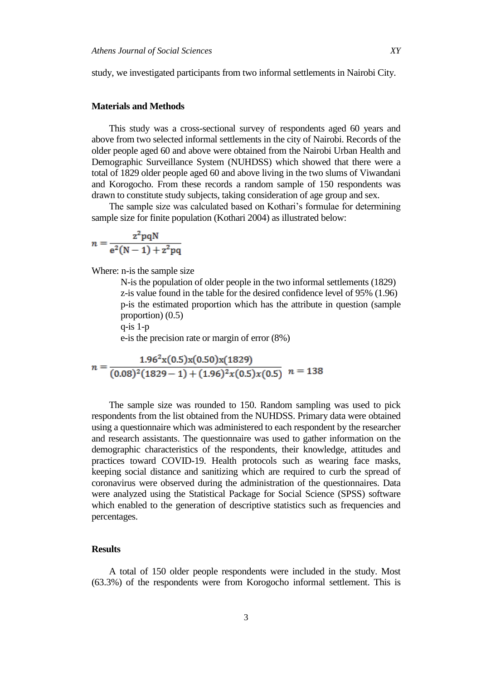study, we investigated participants from two informal settlements in Nairobi City.

#### **Materials and Methods**

This study was a cross-sectional survey of respondents aged 60 years and above from two selected informal settlements in the city of Nairobi. Records of the older people aged 60 and above were obtained from the Nairobi Urban Health and Demographic Surveillance System (NUHDSS) which showed that there were a total of 1829 older people aged 60 and above living in the two slums of Viwandani and Korogocho. From these records a random sample of 150 respondents was drawn to constitute study subjects, taking consideration of age group and sex.

The sample size was calculated based on Kothari's formulae for determining sample size for finite population (Kothari 2004) as illustrated below:

$$
n = \frac{z^2 pqN}{e^2(N-1) + z^2 pq}
$$

Where: n-is the sample size

N-is the population of older people in the two informal settlements (1829) z-is value found in the table for the desired confidence level of 95% (1.96) p-is the estimated proportion which has the attribute in question (sample proportion) (0.5)

q-is 1-p

e-is the precision rate or margin of error (8%)

$$
n = \frac{1.96^2 \text{x} (0.5) \text{x} (0.50) \text{x} (1829)}{(0.08)^2 (1829 - 1) + (1.96)^2 \text{x} (0.5) \text{x} (0.5)} \quad n = 138
$$

The sample size was rounded to 150. Random sampling was used to pick respondents from the list obtained from the NUHDSS. Primary data were obtained using a questionnaire which was administered to each respondent by the researcher and research assistants. The questionnaire was used to gather information on the demographic characteristics of the respondents, their knowledge, attitudes and practices toward COVID-19. Health protocols such as wearing face masks, keeping social distance and sanitizing which are required to curb the spread of coronavirus were observed during the administration of the questionnaires. Data were analyzed using the Statistical Package for Social Science (SPSS) software which enabled to the generation of descriptive statistics such as frequencies and percentages.

### **Results**

A total of 150 older people respondents were included in the study. Most (63.3%) of the respondents were from Korogocho informal settlement. This is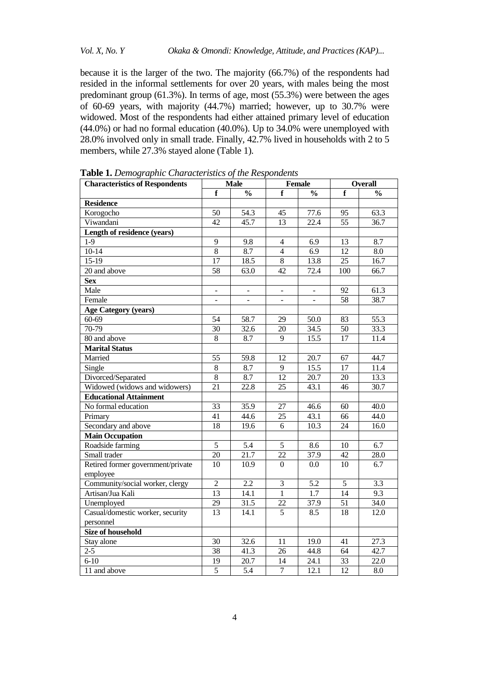because it is the larger of the two. The majority (66.7%) of the respondents had resided in the informal settlements for over 20 years, with males being the most predominant group (61.3%). In terms of age, most (55.3%) were between the ages of 60-69 years, with majority (44.7%) married; however, up to 30.7% were widowed. Most of the respondents had either attained primary level of education (44.0%) or had no formal education (40.0%). Up to 34.0% were unemployed with 28.0% involved only in small trade. Finally, 42.7% lived in households with 2 to 5 members, while 27.3% stayed alone (Table 1).

| <b>Characteristics of Respondents</b> |                          | <b>Male</b><br><b>Female</b> |                          |                          | <b>Overall</b>  |                   |  |
|---------------------------------------|--------------------------|------------------------------|--------------------------|--------------------------|-----------------|-------------------|--|
|                                       | f                        | $\frac{0}{0}$                | f                        | $\frac{0}{0}$            | f               | $\frac{0}{0}$     |  |
| <b>Residence</b>                      |                          |                              |                          |                          |                 |                   |  |
| Korogocho                             | $\overline{50}$          | 54.3                         | $\overline{45}$          | 77.6                     | $\overline{95}$ | 63.3              |  |
| Viwandani                             | $\overline{42}$          | $\overline{45.7}$            | 13                       | $\overline{22.4}$        | $\overline{55}$ | 36.7              |  |
| Length of residence (years)           |                          |                              |                          |                          |                 |                   |  |
| $1-9$                                 | $\overline{9}$           | 9.8                          | 4                        | 6.9                      | 13              | 8.7               |  |
| $10-14$                               | $\overline{8}$           | 8.7                          | $\overline{4}$           | $\overline{6.9}$         | $\overline{12}$ | $\overline{8.0}$  |  |
| $15-19$                               | 17                       | 18.5                         | $\overline{8}$           | 13.8                     | $\overline{25}$ | $\overline{16.7}$ |  |
| $\overline{20}$ and above             | $\overline{58}$          | 63.0                         | $\overline{42}$          | 72.4                     | 100             | 66.7              |  |
| <b>Sex</b>                            |                          |                              |                          |                          |                 |                   |  |
| Male                                  | $\blacksquare$           | $\blacksquare$               | $\overline{\phantom{a}}$ | $\frac{1}{2}$            | 92              | 61.3              |  |
| Female                                | $\overline{\phantom{a}}$ | $\overline{\phantom{a}}$     | $\blacksquare$           | $\overline{\phantom{a}}$ | 58              | 38.7              |  |
| <b>Age Category (years)</b>           |                          |                              |                          |                          |                 |                   |  |
| $60 - 69$                             | $\overline{54}$          | $\overline{58.7}$            | $\overline{29}$          | 50.0                     | $\overline{83}$ | 55.3              |  |
| $70-79$                               | 30                       | 32.6                         | 20                       | 34.5                     | 50              | 33.3              |  |
| 80 and above                          | 8                        | 8.7                          | 9                        | 15.5                     | 17              | 11.4              |  |
| <b>Marital Status</b>                 |                          |                              |                          |                          |                 |                   |  |
| Married                               | 55                       | 59.8                         | 12                       | 20.7                     | 67              | 44.7              |  |
| Single                                | 8                        | 8.7                          | 9                        | 15.5                     | 17              | 11.4              |  |
| Divorced/Separated                    | $8\,$                    | 8.7                          | 12                       | 20.7                     | 20              | 13.3              |  |
| Widowed (widows and widowers)         | 21                       | 22.8                         | 25                       | 43.1                     | 46              | 30.7              |  |
| <b>Educational Attainment</b>         |                          |                              |                          |                          |                 |                   |  |
| No formal education                   | 33                       | 35.9                         | 27                       | 46.6                     | 60              | 40.0              |  |
| Primary                               | 41                       | 44.6                         | 25                       | 43.1                     | 66              | 44.0              |  |
| Secondary and above                   | 18                       | 19.6                         | 6                        | 10.3                     | 24              | 16.0              |  |
| <b>Main Occupation</b>                |                          |                              |                          |                          |                 |                   |  |
| Roadside farming                      | $\sqrt{5}$               | 5.4                          | $\mathfrak s$            | 8.6                      | 10              | 6.7               |  |
| Small trader                          | 20                       | 21.7                         | 22                       | 37.9                     | 42              | 28.0              |  |
| Retired former government/private     | 10                       | 10.9                         | $\overline{0}$           | 0.0                      | 10              | 6.7               |  |
| employee                              |                          |                              |                          |                          |                 |                   |  |
| Community/social worker, clergy       | $\overline{2}$           | $\overline{2.2}$             | 3                        | $\overline{5.2}$         | $\overline{5}$  | $\overline{3.3}$  |  |
| Artisan/Jua Kali                      | $\overline{13}$          | 14.1                         | $\mathbf{1}$             | $\overline{1.7}$         | 14              | 9.3               |  |
| Unemployed                            | 29                       | 31.5                         | 22                       | 37.9                     | 51              | 34.0              |  |
| Casual/domestic worker, security      | $\overline{13}$          | 14.1                         | $\overline{5}$           | 8.5                      | $\overline{18}$ | 12.0              |  |
| personnel                             |                          |                              |                          |                          |                 |                   |  |
| <b>Size of household</b>              |                          |                              |                          |                          |                 |                   |  |
| Stay alone                            | 30                       | 32.6                         | 11                       | 19.0                     | 41              | 27.3              |  |
| $2 - 5$                               | 38                       | 41.3                         | 26                       | 44.8                     | 64              | 42.7              |  |
| $6 - 10$                              | $\overline{19}$          | 20.7                         | 14                       | 24.1                     | $\overline{33}$ | 22.0              |  |
| 11 and above                          | $\overline{5}$           | 5.4                          | $\overline{7}$           | 12.1                     | 12              | 8.0               |  |

**Table 1.** *Demographic Characteristics of the Respondents*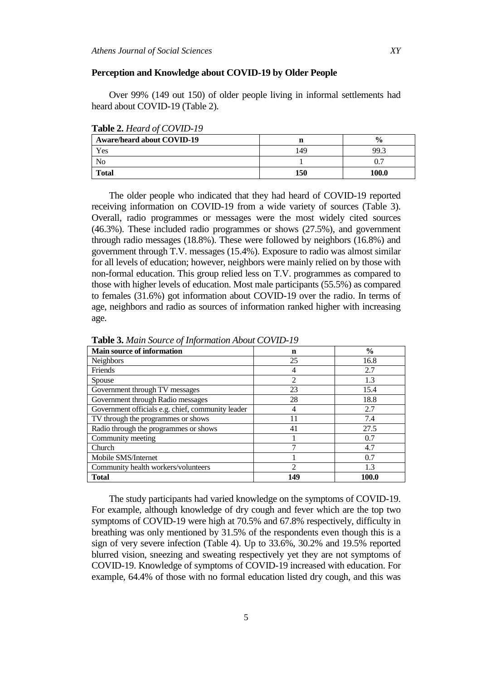### **Perception and Knowledge about COVID-19 by Older People**

Over 99% (149 out 150) of older people living in informal settlements had heard about COVID-19 (Table 2).

| <b>Aware/heard about COVID-19</b> |     | $\frac{6}{6}$ |
|-----------------------------------|-----|---------------|
| Yes                               | 149 | 99.3          |
| No                                |     |               |
| <b>Total</b>                      | 150 | 100.0         |

**Table 2.** *Heard of COVID-19*

The older people who indicated that they had heard of COVID-19 reported receiving information on COVID-19 from a wide variety of sources (Table 3). Overall, radio programmes or messages were the most widely cited sources (46.3%). These included radio programmes or shows (27.5%), and government through radio messages (18.8%). These were followed by neighbors (16.8%) and government through T.V. messages (15.4%). Exposure to radio was almost similar for all levels of education; however, neighbors were mainly relied on by those with non-formal education. This group relied less on T.V. programmes as compared to those with higher levels of education. Most male participants (55.5%) as compared to females (31.6%) got information about COVID-19 over the radio. In terms of age, neighbors and radio as sources of information ranked higher with increasing age.

| <b>Main source of information</b>                 | n              | $\frac{6}{9}$ |
|---------------------------------------------------|----------------|---------------|
| <b>Neighbors</b>                                  | 25             | 16.8          |
| Friends                                           | 4              | 2.7           |
| Spouse                                            | $\overline{2}$ | 1.3           |
| Government through TV messages                    | 23             | 15.4          |
| Government through Radio messages                 | 28             | 18.8          |
| Government officials e.g. chief, community leader | 4              | 2.7           |
| TV through the programmes or shows                | 11             | 7.4           |
| Radio through the programmes or shows             | 41             | 27.5          |
| Community meeting                                 |                | 0.7           |
| Church                                            |                | 4.7           |
| Mobile SMS/Internet                               |                | 0.7           |
| Community health workers/volunteers               | $\mathfrak{D}$ | 1.3           |
| <b>Total</b>                                      | 149            | 100.0         |

**Table 3.** *Main Source of Information About COVID-19*

The study participants had varied knowledge on the symptoms of COVID-19. For example, although knowledge of dry cough and fever which are the top two symptoms of COVID-19 were high at 70.5% and 67.8% respectively, difficulty in breathing was only mentioned by 31.5% of the respondents even though this is a sign of very severe infection (Table 4). Up to 33.6%, 30.2% and 19.5% reported blurred vision, sneezing and sweating respectively yet they are not symptoms of COVID-19. Knowledge of symptoms of COVID-19 increased with education. For example, 64.4% of those with no formal education listed dry cough, and this was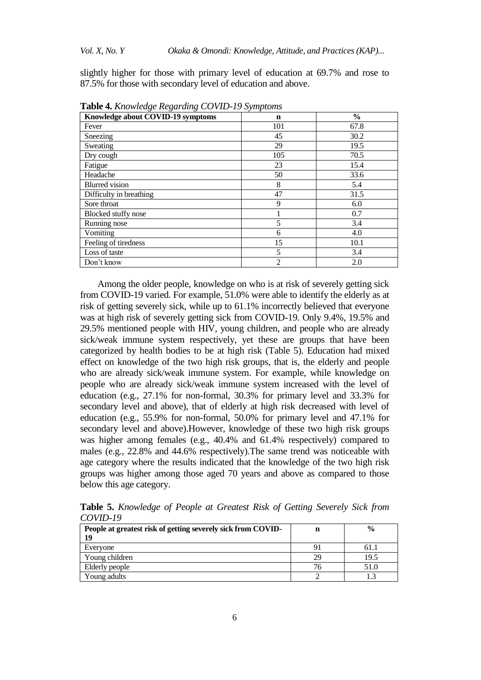slightly higher for those with primary level of education at 69.7% and rose to 87.5% for those with secondary level of education and above.

| $\cdots$ $\cdots$ $\cdots$ $\cdots$ $\cdots$ $\cdots$ $\cdots$ $\cdots$ $\cdots$ $\cdots$ $\cdots$ $\cdots$ $\cdots$ $\cdots$ $\cdots$ |                |               |
|----------------------------------------------------------------------------------------------------------------------------------------|----------------|---------------|
| Knowledge about COVID-19 symptoms                                                                                                      | n              | $\frac{6}{6}$ |
| Fever                                                                                                                                  | 101            | 67.8          |
| Sneezing                                                                                                                               | 45             | 30.2          |
| Sweating                                                                                                                               | 29             | 19.5          |
| Dry cough                                                                                                                              | 105            | 70.5          |
| Fatigue                                                                                                                                | 23             | 15.4          |
| Headache                                                                                                                               | 50             | 33.6          |
| <b>Blurred</b> vision                                                                                                                  | 8              | 5.4           |
| Difficulty in breathing                                                                                                                | 47             | 31.5          |
| Sore throat                                                                                                                            | 9              | 6.0           |
| Blocked stuffy nose                                                                                                                    |                | 0.7           |
| Running nose                                                                                                                           | 5              | 3.4           |
| Vomiting                                                                                                                               | 6              | 4.0           |
| Feeling of tiredness                                                                                                                   | 15             | 10.1          |
| Loss of taste                                                                                                                          | 5              | 3.4           |
| Don't know                                                                                                                             | $\overline{2}$ | 2.0           |

**Table 4.** *Knowledge Regarding COVID-19 Symptoms*

Among the older people, knowledge on who is at risk of severely getting sick from COVID-19 varied. For example, 51.0% were able to identify the elderly as at risk of getting severely sick, while up to 61.1% incorrectly believed that everyone was at high risk of severely getting sick from COVID-19. Only 9.4%, 19.5% and 29.5% mentioned people with HIV, young children, and people who are already sick/weak immune system respectively, yet these are groups that have been categorized by health bodies to be at high risk (Table 5). Education had mixed effect on knowledge of the two high risk groups, that is, the elderly and people who are already sick/weak immune system. For example, while knowledge on people who are already sick/weak immune system increased with the level of education (e.g., 27.1% for non-formal, 30.3% for primary level and 33.3% for secondary level and above), that of elderly at high risk decreased with level of education (e.g., 55.9% for non-formal, 50.0% for primary level and 47.1% for secondary level and above).However, knowledge of these two high risk groups was higher among females (e.g., 40.4% and 61.4% respectively) compared to males (e.g., 22.8% and 44.6% respectively).The same trend was noticeable with age category where the results indicated that the knowledge of the two high risk groups was higher among those aged 70 years and above as compared to those below this age category.

**Table 5.** *Knowledge of People at Greatest Risk of Getting Severely Sick from COVID-19* 

| People at greatest risk of getting severely sick from COVID-<br>19 | n  | $\frac{0}{0}$ |
|--------------------------------------------------------------------|----|---------------|
| Everyone                                                           | 9î | 61.1          |
| Young children                                                     | 29 | 19.5          |
| Elderly people                                                     | 76 | 51.0          |
| Young adults                                                       |    |               |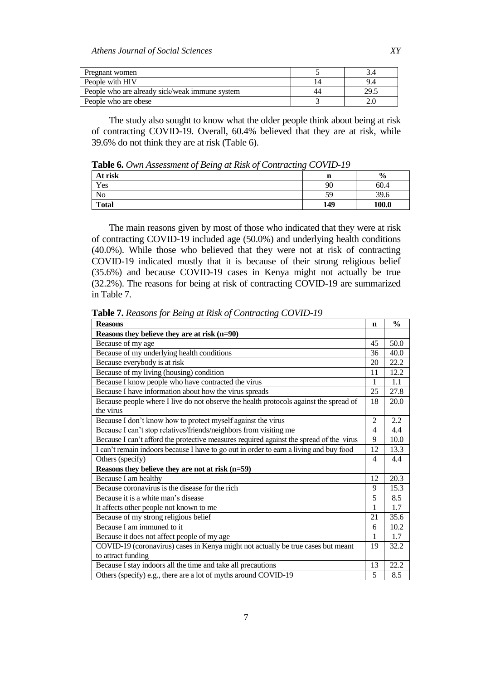| Pregnant women                                 |    |      |
|------------------------------------------------|----|------|
| People with HIV                                |    | 9.4  |
| People who are already sick/weak immune system | 44 | 29.5 |
| People who are obese                           |    |      |

The study also sought to know what the older people think about being at risk of contracting COVID-19. Overall, 60.4% believed that they are at risk, while 39.6% do not think they are at risk (Table 6).

**Table 6.** *Own Assessment of Being at Risk of Contracting COVID-19*

| At risk      | n   | $\frac{6}{9}$ |
|--------------|-----|---------------|
| Yes          | 90  | 60.4          |
| No           | 59  | 39.6          |
| <b>Total</b> | 149 | 100.0         |

The main reasons given by most of those who indicated that they were at risk of contracting COVID-19 included age (50.0%) and underlying health conditions (40.0%). While those who believed that they were not at risk of contracting COVID-19 indicated mostly that it is because of their strong religious belief (35.6%) and because COVID-19 cases in Kenya might not actually be true (32.2%). The reasons for being at risk of contracting COVID-19 are summarized in Table 7.

| <b>Reasons</b>                                                                          | n              | $\frac{0}{0}$ |
|-----------------------------------------------------------------------------------------|----------------|---------------|
| Reasons they believe they are at risk (n=90)                                            |                |               |
| Because of my age                                                                       | 45             | 50.0          |
| Because of my underlying health conditions                                              | 36             | 40.0          |
| Because everybody is at risk                                                            | 20             | 22.2          |
| Because of my living (housing) condition                                                | 11             | 12.2          |
| Because I know people who have contracted the virus                                     | 1              | 1.1           |
| Because I have information about how the virus spreads                                  | 25             | 27.8          |
| Because people where I live do not observe the health protocols against the spread of   | 18             | 20.0          |
| the virus                                                                               |                |               |
| Because I don't know how to protect myself against the virus                            | $\overline{2}$ | 2.2           |
| Because I can't stop relatives/friends/neighbors from visiting me                       | $\overline{4}$ | 4.4           |
| Because I can't afford the protective measures required against the spread of the virus | 9              | 10.0          |
| I can't remain indoors because I have to go out in order to earn a living and buy food  | 12             | 13.3          |
| Others (specify)                                                                        | 4              | 4.4           |
| Reasons they believe they are not at risk (n=59)                                        |                |               |
| Because I am healthy                                                                    | 12             | 20.3          |
| Because coronavirus is the disease for the rich                                         | 9              | 15.3          |
| Because it is a white man's disease                                                     | 5              | 8.5           |
| It affects other people not known to me                                                 | 1              | 1.7           |
| Because of my strong religious belief                                                   | 21             | 35.6          |
| Because I am immuned to it                                                              | 6              | 10.2          |
| Because it does not affect people of my age                                             | $\mathbf{1}$   | 1.7           |
| COVID-19 (coronavirus) cases in Kenya might not actually be true cases but meant        | 19             | 32.2          |
| to attract funding                                                                      |                |               |
| Because I stay indoors all the time and take all precautions                            | 13             | 22.2          |
| Others (specify) e.g., there are a lot of myths around COVID-19                         | 5              | 8.5           |

**Table 7.** *Reasons for Being at Risk of Contracting COVID-19*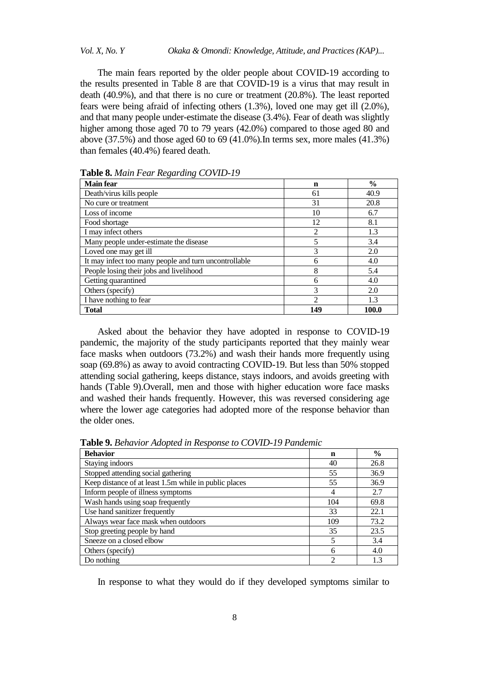*Vol. X, No. Y Okaka & Omondi: Knowledge, Attitude, and Practices (KAP)...*

The main fears reported by the older people about COVID-19 according to the results presented in Table 8 are that COVID-19 is a virus that may result in death (40.9%), and that there is no cure or treatment (20.8%). The least reported fears were being afraid of infecting others (1.3%), loved one may get ill (2.0%), and that many people under-estimate the disease (3.4%). Fear of death was slightly higher among those aged 70 to 79 years (42.0%) compared to those aged 80 and above  $(37.5\%)$  and those aged 60 to 69  $(41.0\%)$ . In terms sex, more males  $(41.3\%)$ than females (40.4%) feared death.

| <b>Main fear</b>                                      | n              | $\frac{6}{9}$ |
|-------------------------------------------------------|----------------|---------------|
| Death/virus kills people                              | 61             | 40.9          |
| No cure or treatment                                  | 31             | 20.8          |
| Loss of income                                        | 10             | 6.7           |
| Food shortage                                         | 12             | 8.1           |
| I may infect others                                   | 2              | 1.3           |
| Many people under-estimate the disease                | 5              | 3.4           |
| Loved one may get ill                                 | 3              | 2.0           |
| It may infect too many people and turn uncontrollable | 6              | 4.0           |
| People losing their jobs and livelihood               | 8              | 5.4           |
| Getting quarantined                                   | 6              | 4.0           |
| Others (specify)                                      | 3              | 2.0           |
| I have nothing to fear                                | $\mathfrak{D}$ | 1.3           |
| <b>Total</b>                                          | 149            | 100.0         |

**Table 8.** *Main Fear Regarding COVID-19* 

Asked about the behavior they have adopted in response to COVID-19 pandemic, the majority of the study participants reported that they mainly wear face masks when outdoors (73.2%) and wash their hands more frequently using soap (69.8%) as away to avoid contracting COVID-19. But less than 50% stopped attending social gathering, keeps distance, stays indoors, and avoids greeting with hands (Table 9).Overall, men and those with higher education wore face masks and washed their hands frequently. However, this was reversed considering age where the lower age categories had adopted more of the response behavior than the older ones.

**Behavior n %** Staying indoors 40 26.8 Stopped attending social gathering 55 36.9 Keep distance of at least 1.5m while in public places 55 36.9 Inform people of illness symptoms 14 2.7 Wash hands using soap frequently 104 69.8 Use hand sanitizer frequently 33 22.1 Always wear face mask when outdoors 109 73.2 Stop greeting people by hand 35 23.5 Sneeze on a closed elbow 5 3.4 Others (specify) 6 4.0 Do nothing  $\begin{array}{|c|c|c|c|c|c|c|c|} \hline 2 & 1.3 \\ \hline \end{array}$ 

**Table 9.** *Behavior Adopted in Response to COVID-19 Pandemic*

In response to what they would do if they developed symptoms similar to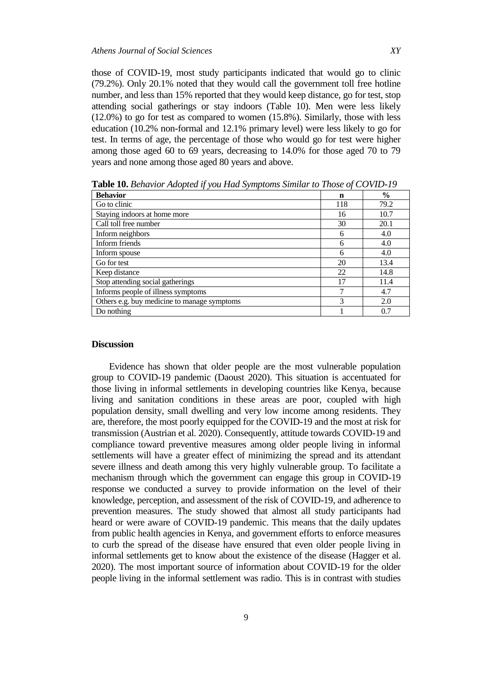those of COVID-19, most study participants indicated that would go to clinic (79.2%). Only 20.1% noted that they would call the government toll free hotline number, and less than 15% reported that they would keep distance, go for test, stop attending social gatherings or stay indoors (Table 10). Men were less likely (12.0%) to go for test as compared to women (15.8%). Similarly, those with less education (10.2% non-formal and 12.1% primary level) were less likely to go for test. In terms of age, the percentage of those who would go for test were higher among those aged 60 to 69 years, decreasing to 14.0% for those aged 70 to 79 years and none among those aged 80 years and above.

| <b>Behavior</b>                             | n   | $\frac{0}{0}$ |
|---------------------------------------------|-----|---------------|
| Go to clinic                                | 118 | 79.2          |
| Staying indoors at home more                | 16  | 10.7          |
| Call toll free number                       | 30  | 20.1          |
| Inform neighbors                            | 6   | 4.0           |
| Inform friends                              | 6   | 4.0           |
| Inform spouse                               | 6   | 4.0           |
| Go for test                                 | 20  | 13.4          |
| Keep distance                               | 22  | 14.8          |
| Stop attending social gatherings            | 17  | 11.4          |
| Informs people of illness symptoms          |     | 4.7           |
| Others e.g. buy medicine to manage symptoms | 3   | 2.0           |
| Do nothing                                  |     | 0.7           |

**Table 10.** *Behavior Adopted if you Had Symptoms Similar to Those of COVID-19* 

#### **Discussion**

Evidence has shown that older people are the most vulnerable population group to COVID-19 pandemic (Daoust 2020). This situation is accentuated for those living in informal settlements in developing countries like Kenya, because living and sanitation conditions in these areas are poor, coupled with high population density, small dwelling and very low income among residents. They are, therefore, the most poorly equipped for the COVID-19 and the most at risk for transmission (Austrian et al. 2020). Consequently, attitude towards COVID-19 and compliance toward preventive measures among older people living in informal settlements will have a greater effect of minimizing the spread and its attendant severe illness and death among this very highly vulnerable group. To facilitate a mechanism through which the government can engage this group in COVID-19 response we conducted a survey to provide information on the level of their knowledge, perception, and assessment of the risk of COVID-19, and adherence to prevention measures. The study showed that almost all study participants had heard or were aware of COVID-19 pandemic. This means that the daily updates from public health agencies in Kenya, and government efforts to enforce measures to curb the spread of the disease have ensured that even older people living in informal settlements get to know about the existence of the disease (Hagger et al. 2020). The most important source of information about COVID-19 for the older people living in the informal settlement was radio. This is in contrast with studies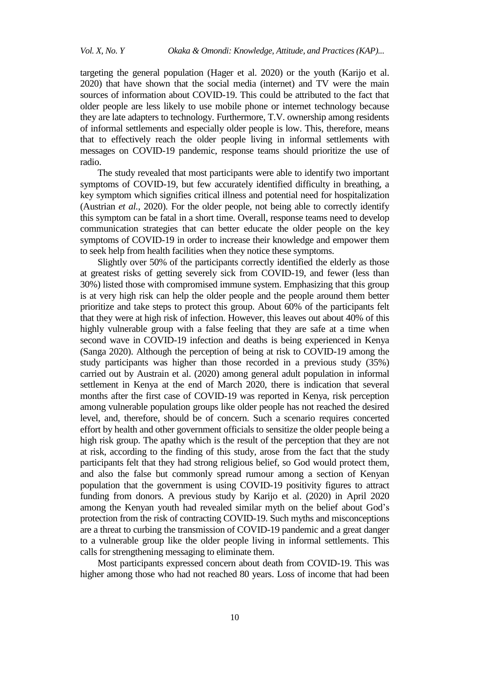targeting the general population (Hager et al. 2020) or the youth (Karijo et al. 2020) that have shown that the social media (internet) and TV were the main sources of information about COVID-19. This could be attributed to the fact that older people are less likely to use mobile phone or internet technology because they are late adapters to technology. Furthermore, T.V. ownership among residents of informal settlements and especially older people is low. This, therefore, means that to effectively reach the older people living in informal settlements with messages on COVID-19 pandemic, response teams should prioritize the use of radio.

The study revealed that most participants were able to identify two important symptoms of COVID-19, but few accurately identified difficulty in breathing, a key symptom which signifies critical illness and potential need for hospitalization (Austrian *et al.*, 2020). For the older people, not being able to correctly identify this symptom can be fatal in a short time. Overall, response teams need to develop communication strategies that can better educate the older people on the key symptoms of COVID-19 in order to increase their knowledge and empower them to seek help from health facilities when they notice these symptoms.

Slightly over 50% of the participants correctly identified the elderly as those at greatest risks of getting severely sick from COVID-19, and fewer (less than 30%) listed those with compromised immune system. Emphasizing that this group is at very high risk can help the older people and the people around them better prioritize and take steps to protect this group. About 60% of the participants felt that they were at high risk of infection. However, this leaves out about 40% of this highly vulnerable group with a false feeling that they are safe at a time when second wave in COVID-19 infection and deaths is being experienced in Kenya (Sanga 2020). Although the perception of being at risk to COVID-19 among the study participants was higher than those recorded in a previous study (35%) carried out by Austrain et al. (2020) among general adult population in informal settlement in Kenya at the end of March 2020, there is indication that several months after the first case of COVID-19 was reported in Kenya, risk perception among vulnerable population groups like older people has not reached the desired level, and, therefore, should be of concern. Such a scenario requires concerted effort by health and other government officials to sensitize the older people being a high risk group. The apathy which is the result of the perception that they are not at risk, according to the finding of this study, arose from the fact that the study participants felt that they had strong religious belief, so God would protect them, and also the false but commonly spread rumour among a section of Kenyan population that the government is using COVID-19 positivity figures to attract funding from donors. A previous study by Karijo et al. (2020) in April 2020 among the Kenyan youth had revealed similar myth on the belief about God's protection from the risk of contracting COVID-19. Such myths and misconceptions are a threat to curbing the transmission of COVID-19 pandemic and a great danger to a vulnerable group like the older people living in informal settlements. This calls for strengthening messaging to eliminate them.

Most participants expressed concern about death from COVID-19. This was higher among those who had not reached 80 years. Loss of income that had been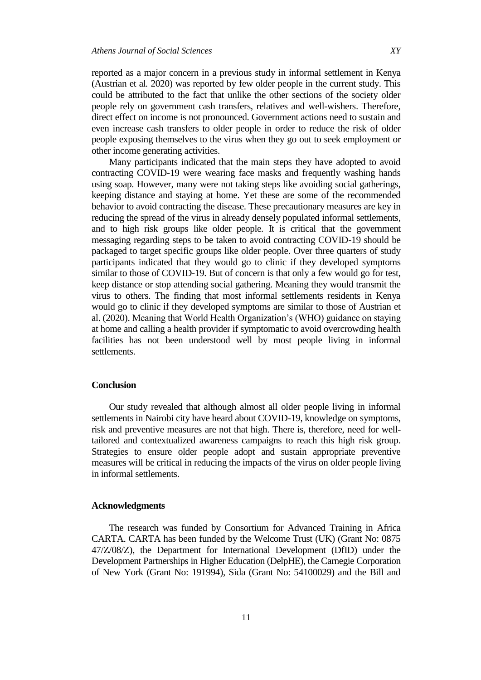reported as a major concern in a previous study in informal settlement in Kenya (Austrian et al*.* 2020) was reported by few older people in the current study. This could be attributed to the fact that unlike the other sections of the society older people rely on government cash transfers, relatives and well-wishers. Therefore, direct effect on income is not pronounced. Government actions need to sustain and even increase cash transfers to older people in order to reduce the risk of older people exposing themselves to the virus when they go out to seek employment or other income generating activities.

Many participants indicated that the main steps they have adopted to avoid contracting COVID-19 were wearing face masks and frequently washing hands using soap. However, many were not taking steps like avoiding social gatherings, keeping distance and staying at home. Yet these are some of the recommended behavior to avoid contracting the disease. These precautionary measures are key in reducing the spread of the virus in already densely populated informal settlements, and to high risk groups like older people. It is critical that the government messaging regarding steps to be taken to avoid contracting COVID-19 should be packaged to target specific groups like older people. Over three quarters of study participants indicated that they would go to clinic if they developed symptoms similar to those of COVID-19. But of concern is that only a few would go for test, keep distance or stop attending social gathering. Meaning they would transmit the virus to others. The finding that most informal settlements residents in Kenya would go to clinic if they developed symptoms are similar to those of Austrian et al. (2020). Meaning that World Health Organization's (WHO) guidance on staying at home and calling a health provider if symptomatic to avoid overcrowding health facilities has not been understood well by most people living in informal settlements.

## **Conclusion**

Our study revealed that although almost all older people living in informal settlements in Nairobi city have heard about COVID-19, knowledge on symptoms, risk and preventive measures are not that high. There is, therefore, need for welltailored and contextualized awareness campaigns to reach this high risk group. Strategies to ensure older people adopt and sustain appropriate preventive measures will be critical in reducing the impacts of the virus on older people living in informal settlements.

#### **Acknowledgments**

The research was funded by Consortium for Advanced Training in Africa CARTA. CARTA has been funded by the Welcome Trust (UK) (Grant No: 0875 47/Z/08/Z), the Department for International Development (DfID) under the Development Partnerships in Higher Education (DelpHE), the Carnegie Corporation of New York (Grant No: 191994), Sida (Grant No: 54100029) and the Bill and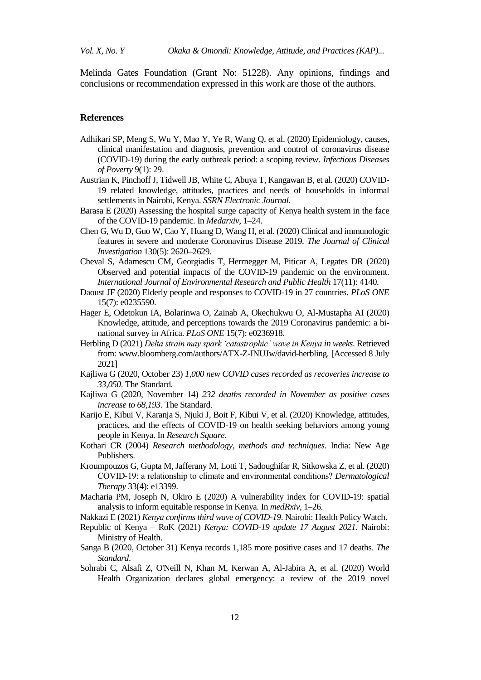Melinda Gates Foundation (Grant No: 51228). Any opinions, findings and conclusions or recommendation expressed in this work are those of the authors.

#### **References**

- Adhikari SP, Meng S, Wu Y, Mao Y, Ye R, Wang Q, et al. (2020) Epidemiology, causes, clinical manifestation and diagnosis, prevention and control of coronavirus disease (COVID-19) during the early outbreak period: a scoping review. *Infectious Diseases of Poverty* 9(1): 29.
- Austrian K, Pinchoff J, Tidwell JB, White C, Abuya T, Kangawan B, et al. (2020) COVID-19 related knowledge, attitudes, practices and needs of households in informal settlements in Nairobi, Kenya. *SSRN Electronic Journal*.
- Barasa E (2020) Assessing the hospital surge capacity of Kenya health system in the face of the COVID-19 pandemic. In *Medarxiv*, 1–24.
- Chen G, Wu D, Guo W, Cao Y, Huang D, Wang H, et al. (2020) Clinical and immunologic features in severe and moderate Coronavirus Disease 2019. *The Journal of Clinical Investigation* 130(5): 2620–2629.
- Cheval S, Adamescu CM, Georgiadis T, Herrnegger M, Piticar A, Legates DR (2020) Observed and potential impacts of the COVID-19 pandemic on the environment. *International Journal of Environmental Research and Public Health* 17(11): 4140.
- Daoust JF (2020) Elderly people and responses to COVID-19 in 27 countries. *PLoS ONE* 15(7): e0235590.
- Hager E, Odetokun IA, Bolarinwa O, Zainab A, Okechukwu O, Al-Mustapha AI (2020) Knowledge, attitude, and perceptions towards the 2019 Coronavirus pandemic: a binational survey in Africa. *PLoS ONE* 15(7): e0236918.
- Herbling D (2021) *Delta strain may spark 'catastrophic' wave in Kenya in weeks*. Retrieved from: [www.bloomberg.com/authors/ATX-Z-INUJw/david-herbling.](http://www.bloomberg.com/authors/ATX-Z-INUJw/david-herbling) [Accessed 8 July 2021]
- Kajliwa G (2020, October 23) *1,000 new COVID cases recorded as recoveries increase to 33,050*. The Standard.
- Kajliwa G (2020, November 14) *232 deaths recorded in November as positive cases increase to 68,193*. The Standard.
- Karijo E, Kibui V, Karanja S, Njuki J, Boit F, Kibui V, et al. (2020) Knowledge, attitudes, practices, and the effects of COVID-19 on health seeking behaviors among young people in Kenya. In *Research Square*.
- Kothari CR (2004) *Research methodology, methods and techniques*. India: New Age Publishers.
- Kroumpouzos G, Gupta M, Jafferany M, Lotti T, Sadoughifar R, Sitkowska Z, et al. (2020) COVID‐19: a relationship to climate and environmental conditions? *Dermatological Therapy* 33(4): e13399.
- Macharia PM, Joseph N, Okiro E (2020) A vulnerability index for COVID-19: spatial analysis to inform equitable response in Kenya. In *medRxiv*, 1–26.
- Nakkazi E (2021) *Kenya confirms third wave of COVID-19*. Nairobi: Health Policy Watch.
- Republic of Kenya RoK (2021) *Kenya: COVID-19 update 17 August 2021*. Nairobi: Ministry of Health.
- Sanga B (2020, October 31) Kenya records 1,185 more positive cases and 17 deaths. *The Standard*.
- Sohrabi C, Alsafi Z, O'Neill N, Khan M, Kerwan A, Al-Jabira A, et al. (2020) World Health Organization declares global emergency: a review of the 2019 novel